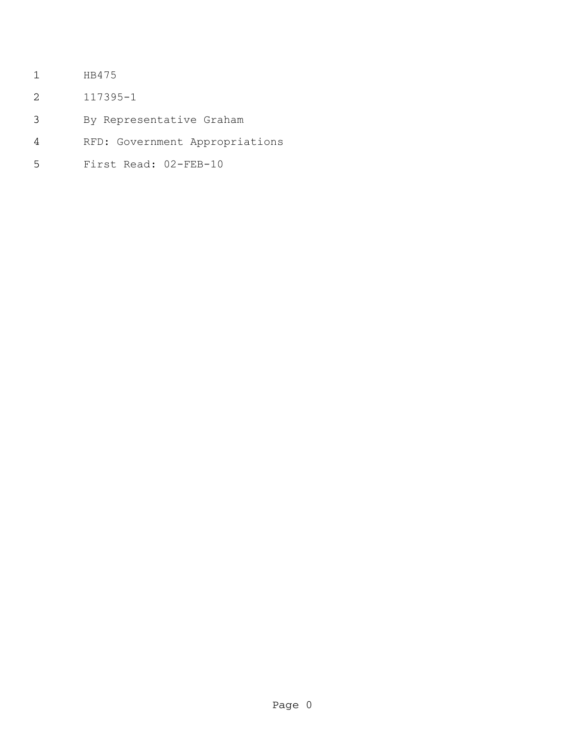- HB475
- 117395-1
- By Representative Graham
- RFD: Government Appropriations
- First Read: 02-FEB-10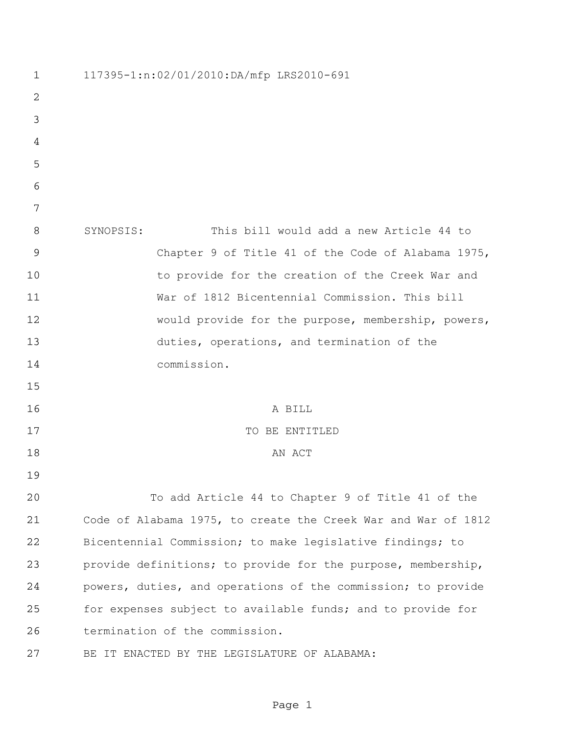| $\mathbf{1}$   | 117395-1:n:02/01/2010:DA/mfp LRS2010-691                      |
|----------------|---------------------------------------------------------------|
| $\overline{2}$ |                                                               |
| 3              |                                                               |
| 4              |                                                               |
| 5              |                                                               |
| 6              |                                                               |
| 7              |                                                               |
| 8              | This bill would add a new Article 44 to<br>SYNOPSIS:          |
| $\overline{9}$ | Chapter 9 of Title 41 of the Code of Alabama 1975,            |
| 10             | to provide for the creation of the Creek War and              |
| 11             | War of 1812 Bicentennial Commission. This bill                |
| 12             | would provide for the purpose, membership, powers,            |
| 13             | duties, operations, and termination of the                    |
| 14             | commission.                                                   |
| 15             |                                                               |
| 16             | A BILL                                                        |
| 17             | TO BE ENTITLED                                                |
| 18             | AN ACT                                                        |
| 19             |                                                               |
| 20             | To add Article 44 to Chapter 9 of Title 41 of the             |
| 21             | Code of Alabama 1975, to create the Creek War and War of 1812 |
| 22             | Bicentennial Commission; to make legislative findings; to     |
| 23             | provide definitions; to provide for the purpose, membership,  |
| 24             | powers, duties, and operations of the commission; to provide  |
| 25             | for expenses subject to available funds; and to provide for   |
| 26             | termination of the commission.                                |
| 27             | IT ENACTED BY THE LEGISLATURE OF ALABAMA:<br>BЕ               |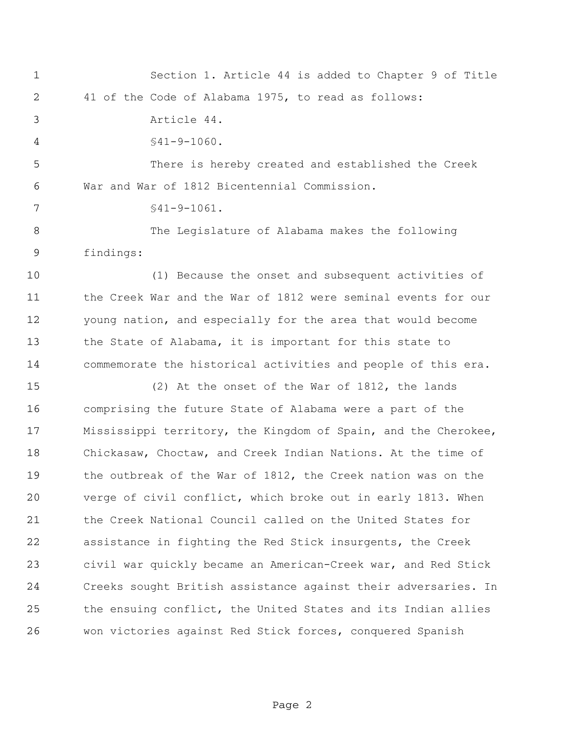Section 1. Article 44 is added to Chapter 9 of Title 41 of the Code of Alabama 1975, to read as follows: Article 44. §41-9-1060. There is hereby created and established the Creek War and War of 1812 Bicentennial Commission.

§41-9-1061.

 The Legislature of Alabama makes the following findings:

 (1) Because the onset and subsequent activities of the Creek War and the War of 1812 were seminal events for our young nation, and especially for the area that would become the State of Alabama, it is important for this state to commemorate the historical activities and people of this era.

 (2) At the onset of the War of 1812, the lands comprising the future State of Alabama were a part of the Mississippi territory, the Kingdom of Spain, and the Cherokee, Chickasaw, Choctaw, and Creek Indian Nations. At the time of the outbreak of the War of 1812, the Creek nation was on the verge of civil conflict, which broke out in early 1813. When the Creek National Council called on the United States for assistance in fighting the Red Stick insurgents, the Creek civil war quickly became an American-Creek war, and Red Stick Creeks sought British assistance against their adversaries. In the ensuing conflict, the United States and its Indian allies won victories against Red Stick forces, conquered Spanish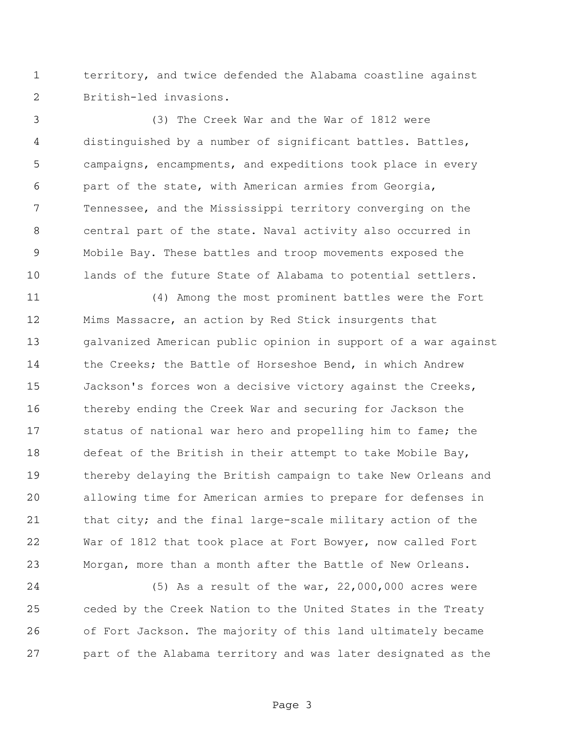territory, and twice defended the Alabama coastline against British-led invasions.

 (3) The Creek War and the War of 1812 were distinguished by a number of significant battles. Battles, campaigns, encampments, and expeditions took place in every part of the state, with American armies from Georgia, Tennessee, and the Mississippi territory converging on the central part of the state. Naval activity also occurred in Mobile Bay. These battles and troop movements exposed the lands of the future State of Alabama to potential settlers.

 (4) Among the most prominent battles were the Fort Mims Massacre, an action by Red Stick insurgents that galvanized American public opinion in support of a war against 14 the Creeks; the Battle of Horseshoe Bend, in which Andrew Jackson's forces won a decisive victory against the Creeks, thereby ending the Creek War and securing for Jackson the 17 status of national war hero and propelling him to fame; the defeat of the British in their attempt to take Mobile Bay, thereby delaying the British campaign to take New Orleans and allowing time for American armies to prepare for defenses in that city; and the final large-scale military action of the War of 1812 that took place at Fort Bowyer, now called Fort Morgan, more than a month after the Battle of New Orleans.

 (5) As a result of the war, 22,000,000 acres were ceded by the Creek Nation to the United States in the Treaty of Fort Jackson. The majority of this land ultimately became part of the Alabama territory and was later designated as the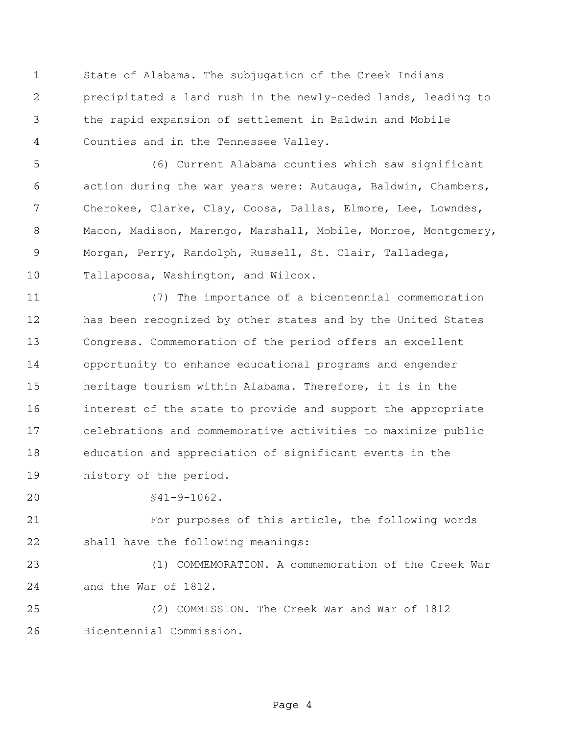State of Alabama. The subjugation of the Creek Indians precipitated a land rush in the newly-ceded lands, leading to the rapid expansion of settlement in Baldwin and Mobile Counties and in the Tennessee Valley.

 (6) Current Alabama counties which saw significant action during the war years were: Autauga, Baldwin, Chambers, Cherokee, Clarke, Clay, Coosa, Dallas, Elmore, Lee, Lowndes, Macon, Madison, Marengo, Marshall, Mobile, Monroe, Montgomery, Morgan, Perry, Randolph, Russell, St. Clair, Talladega, Tallapoosa, Washington, and Wilcox.

 (7) The importance of a bicentennial commemoration has been recognized by other states and by the United States Congress. Commemoration of the period offers an excellent opportunity to enhance educational programs and engender heritage tourism within Alabama. Therefore, it is in the interest of the state to provide and support the appropriate celebrations and commemorative activities to maximize public education and appreciation of significant events in the history of the period.

§41-9-1062.

 For purposes of this article, the following words shall have the following meanings:

 (1) COMMEMORATION. A commemoration of the Creek War and the War of 1812.

 (2) COMMISSION. The Creek War and War of 1812 Bicentennial Commission.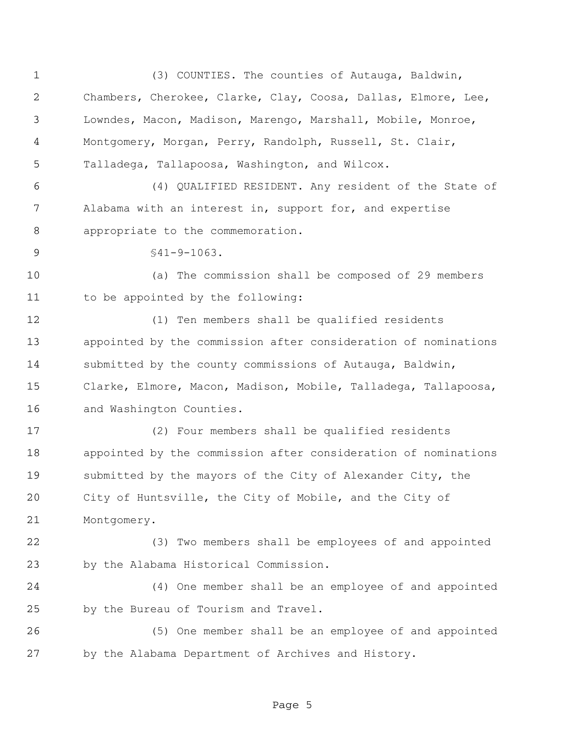(3) COUNTIES. The counties of Autauga, Baldwin, Chambers, Cherokee, Clarke, Clay, Coosa, Dallas, Elmore, Lee, Lowndes, Macon, Madison, Marengo, Marshall, Mobile, Monroe, Montgomery, Morgan, Perry, Randolph, Russell, St. Clair, Talladega, Tallapoosa, Washington, and Wilcox. (4) QUALIFIED RESIDENT. Any resident of the State of Alabama with an interest in, support for, and expertise appropriate to the commemoration. §41-9-1063. (a) The commission shall be composed of 29 members to be appointed by the following: (1) Ten members shall be qualified residents appointed by the commission after consideration of nominations submitted by the county commissions of Autauga, Baldwin, Clarke, Elmore, Macon, Madison, Mobile, Talladega, Tallapoosa, 16 and Washington Counties. (2) Four members shall be qualified residents appointed by the commission after consideration of nominations submitted by the mayors of the City of Alexander City, the City of Huntsville, the City of Mobile, and the City of Montgomery. (3) Two members shall be employees of and appointed by the Alabama Historical Commission. (4) One member shall be an employee of and appointed by the Bureau of Tourism and Travel. (5) One member shall be an employee of and appointed by the Alabama Department of Archives and History.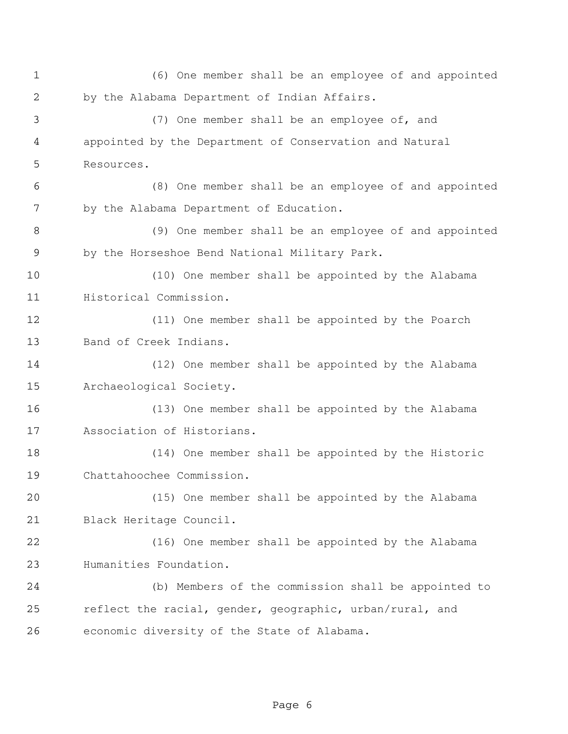(6) One member shall be an employee of and appointed by the Alabama Department of Indian Affairs. (7) One member shall be an employee of, and appointed by the Department of Conservation and Natural Resources. (8) One member shall be an employee of and appointed by the Alabama Department of Education. (9) One member shall be an employee of and appointed by the Horseshoe Bend National Military Park. (10) One member shall be appointed by the Alabama Historical Commission. (11) One member shall be appointed by the Poarch Band of Creek Indians. (12) One member shall be appointed by the Alabama Archaeological Society. (13) One member shall be appointed by the Alabama Association of Historians. (14) One member shall be appointed by the Historic Chattahoochee Commission. (15) One member shall be appointed by the Alabama Black Heritage Council. (16) One member shall be appointed by the Alabama Humanities Foundation. (b) Members of the commission shall be appointed to reflect the racial, gender, geographic, urban/rural, and economic diversity of the State of Alabama.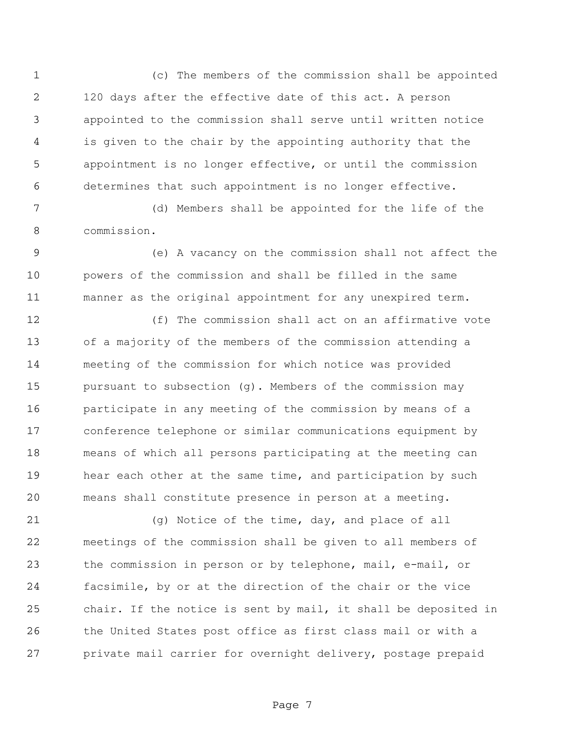(c) The members of the commission shall be appointed 120 days after the effective date of this act. A person appointed to the commission shall serve until written notice is given to the chair by the appointing authority that the appointment is no longer effective, or until the commission determines that such appointment is no longer effective.

 (d) Members shall be appointed for the life of the commission.

 (e) A vacancy on the commission shall not affect the powers of the commission and shall be filled in the same manner as the original appointment for any unexpired term.

 (f) The commission shall act on an affirmative vote of a majority of the members of the commission attending a meeting of the commission for which notice was provided pursuant to subsection (g). Members of the commission may participate in any meeting of the commission by means of a conference telephone or similar communications equipment by means of which all persons participating at the meeting can hear each other at the same time, and participation by such means shall constitute presence in person at a meeting.

 (g) Notice of the time, day, and place of all meetings of the commission shall be given to all members of the commission in person or by telephone, mail, e-mail, or facsimile, by or at the direction of the chair or the vice chair. If the notice is sent by mail, it shall be deposited in the United States post office as first class mail or with a private mail carrier for overnight delivery, postage prepaid

Page 7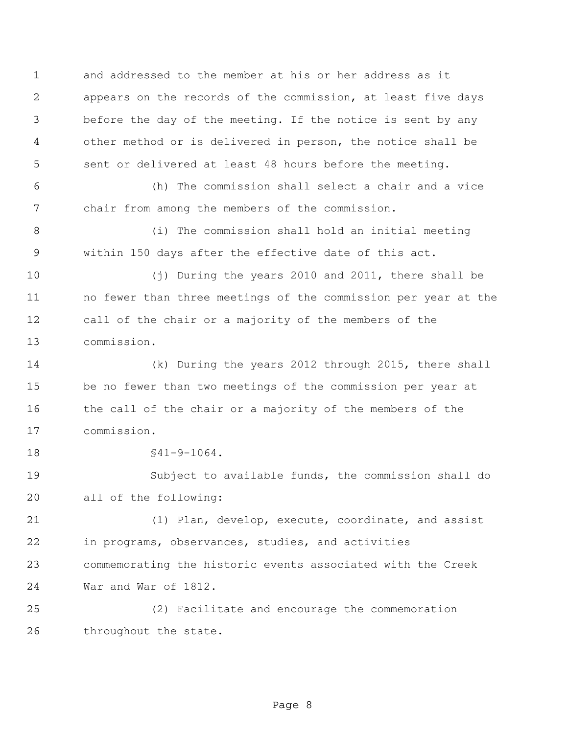and addressed to the member at his or her address as it appears on the records of the commission, at least five days before the day of the meeting. If the notice is sent by any other method or is delivered in person, the notice shall be sent or delivered at least 48 hours before the meeting.

 (h) The commission shall select a chair and a vice chair from among the members of the commission.

 (i) The commission shall hold an initial meeting within 150 days after the effective date of this act.

 (j) During the years 2010 and 2011, there shall be no fewer than three meetings of the commission per year at the call of the chair or a majority of the members of the commission.

 (k) During the years 2012 through 2015, there shall be no fewer than two meetings of the commission per year at the call of the chair or a majority of the members of the commission.

§41-9-1064.

 Subject to available funds, the commission shall do all of the following:

 (1) Plan, develop, execute, coordinate, and assist in programs, observances, studies, and activities commemorating the historic events associated with the Creek War and War of 1812.

 (2) Facilitate and encourage the commemoration throughout the state.

Page 8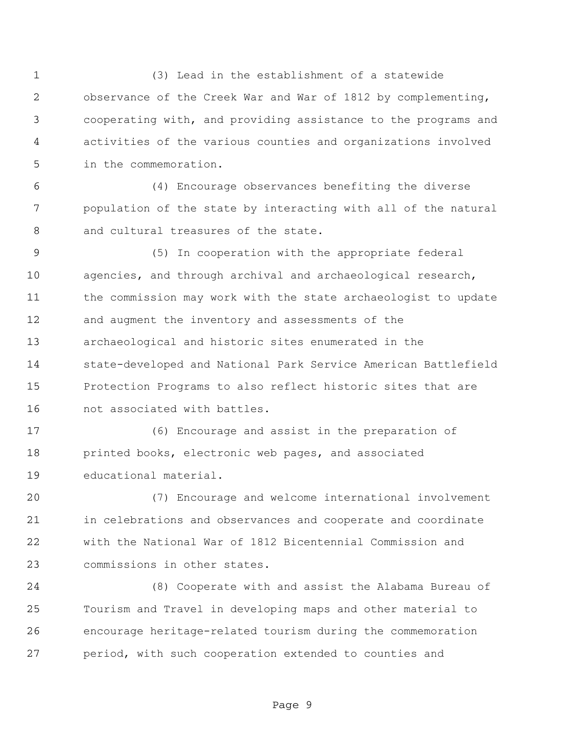(3) Lead in the establishment of a statewide observance of the Creek War and War of 1812 by complementing, cooperating with, and providing assistance to the programs and activities of the various counties and organizations involved in the commemoration.

 (4) Encourage observances benefiting the diverse population of the state by interacting with all of the natural and cultural treasures of the state.

 (5) In cooperation with the appropriate federal agencies, and through archival and archaeological research, the commission may work with the state archaeologist to update and augment the inventory and assessments of the archaeological and historic sites enumerated in the state-developed and National Park Service American Battlefield Protection Programs to also reflect historic sites that are not associated with battles.

 (6) Encourage and assist in the preparation of printed books, electronic web pages, and associated educational material.

 (7) Encourage and welcome international involvement in celebrations and observances and cooperate and coordinate with the National War of 1812 Bicentennial Commission and commissions in other states.

 (8) Cooperate with and assist the Alabama Bureau of Tourism and Travel in developing maps and other material to encourage heritage-related tourism during the commemoration period, with such cooperation extended to counties and

Page 9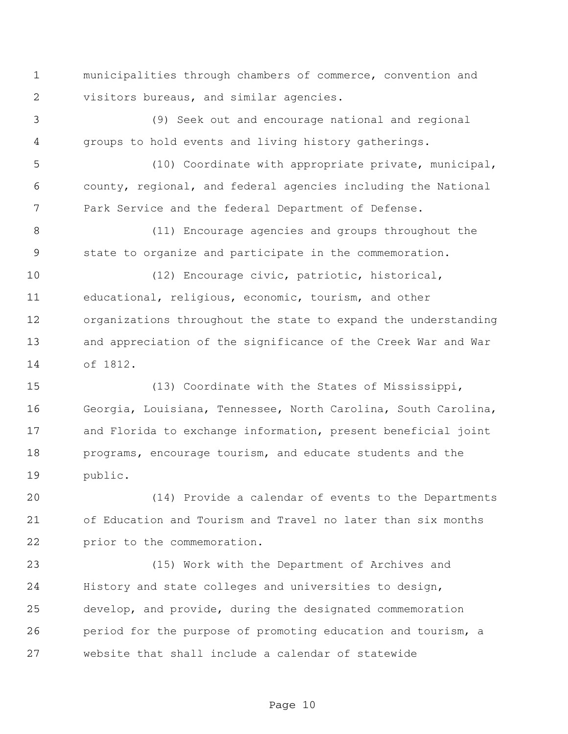municipalities through chambers of commerce, convention and visitors bureaus, and similar agencies.

 (9) Seek out and encourage national and regional groups to hold events and living history gatherings.

 (10) Coordinate with appropriate private, municipal, county, regional, and federal agencies including the National Park Service and the federal Department of Defense.

 (11) Encourage agencies and groups throughout the state to organize and participate in the commemoration.

 (12) Encourage civic, patriotic, historical, educational, religious, economic, tourism, and other organizations throughout the state to expand the understanding and appreciation of the significance of the Creek War and War of 1812.

 (13) Coordinate with the States of Mississippi, Georgia, Louisiana, Tennessee, North Carolina, South Carolina, and Florida to exchange information, present beneficial joint programs, encourage tourism, and educate students and the public.

 (14) Provide a calendar of events to the Departments of Education and Tourism and Travel no later than six months prior to the commemoration.

 (15) Work with the Department of Archives and History and state colleges and universities to design, develop, and provide, during the designated commemoration period for the purpose of promoting education and tourism, a website that shall include a calendar of statewide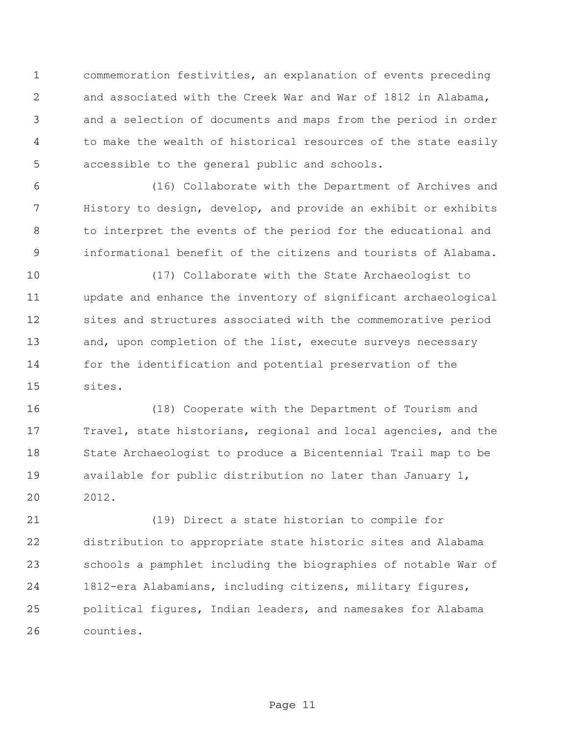commemoration festivities, an explanation of events preceding and associated with the Creek War and War of 1812 in Alabama, and a selection of documents and maps from the period in order to make the wealth of historical resources of the state easily accessible to the general public and schools.

 (16) Collaborate with the Department of Archives and History to design, develop, and provide an exhibit or exhibits to interpret the events of the period for the educational and informational benefit of the citizens and tourists of Alabama.

 (17) Collaborate with the State Archaeologist to update and enhance the inventory of significant archaeological sites and structures associated with the commemorative period 13 and, upon completion of the list, execute surveys necessary for the identification and potential preservation of the sites.

 (18) Cooperate with the Department of Tourism and Travel, state historians, regional and local agencies, and the State Archaeologist to produce a Bicentennial Trail map to be available for public distribution no later than January 1, 2012.

 (19) Direct a state historian to compile for distribution to appropriate state historic sites and Alabama schools a pamphlet including the biographies of notable War of 1812-era Alabamians, including citizens, military figures, political figures, Indian leaders, and namesakes for Alabama counties.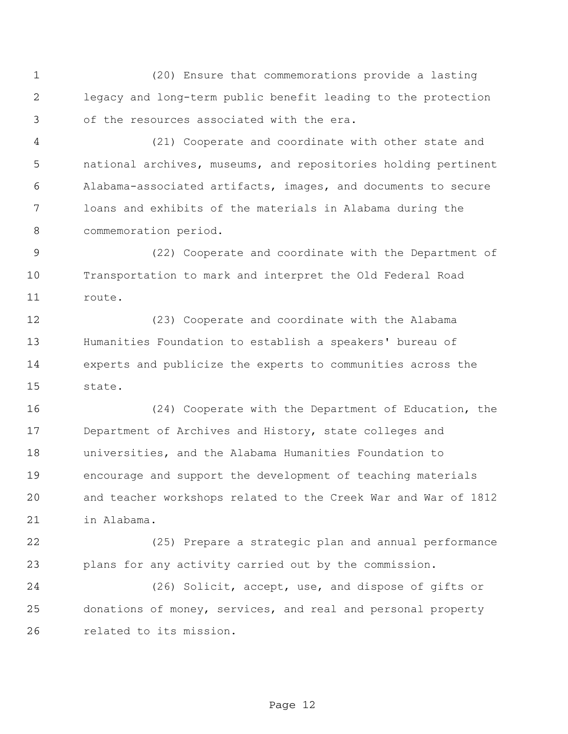(20) Ensure that commemorations provide a lasting legacy and long-term public benefit leading to the protection of the resources associated with the era.

 (21) Cooperate and coordinate with other state and national archives, museums, and repositories holding pertinent Alabama-associated artifacts, images, and documents to secure loans and exhibits of the materials in Alabama during the commemoration period.

 (22) Cooperate and coordinate with the Department of Transportation to mark and interpret the Old Federal Road route.

 (23) Cooperate and coordinate with the Alabama Humanities Foundation to establish a speakers' bureau of experts and publicize the experts to communities across the state.

 (24) Cooperate with the Department of Education, the Department of Archives and History, state colleges and universities, and the Alabama Humanities Foundation to encourage and support the development of teaching materials and teacher workshops related to the Creek War and War of 1812 in Alabama.

 (25) Prepare a strategic plan and annual performance plans for any activity carried out by the commission.

 (26) Solicit, accept, use, and dispose of gifts or donations of money, services, and real and personal property related to its mission.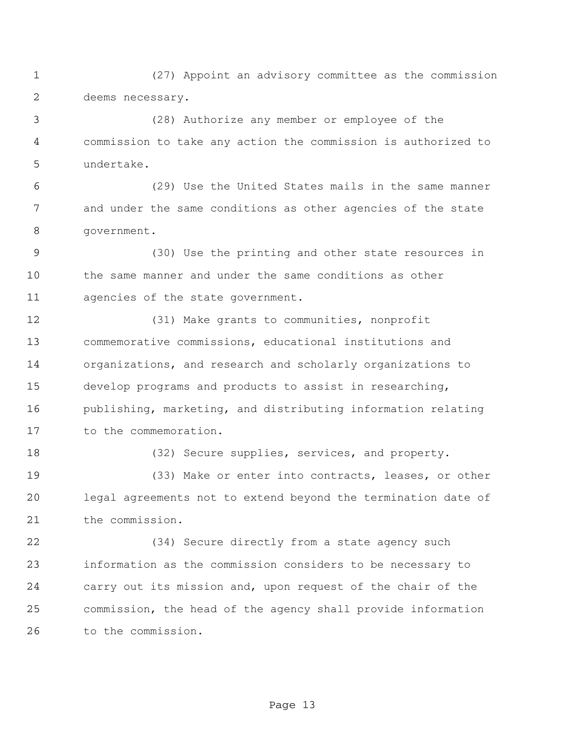(27) Appoint an advisory committee as the commission deems necessary.

 (28) Authorize any member or employee of the commission to take any action the commission is authorized to undertake.

 (29) Use the United States mails in the same manner and under the same conditions as other agencies of the state government.

 (30) Use the printing and other state resources in the same manner and under the same conditions as other agencies of the state government.

 (31) Make grants to communities, nonprofit commemorative commissions, educational institutions and organizations, and research and scholarly organizations to develop programs and products to assist in researching, publishing, marketing, and distributing information relating to the commemoration.

18 (32) Secure supplies, services, and property.

 (33) Make or enter into contracts, leases, or other legal agreements not to extend beyond the termination date of the commission.

 (34) Secure directly from a state agency such information as the commission considers to be necessary to carry out its mission and, upon request of the chair of the commission, the head of the agency shall provide information to the commission.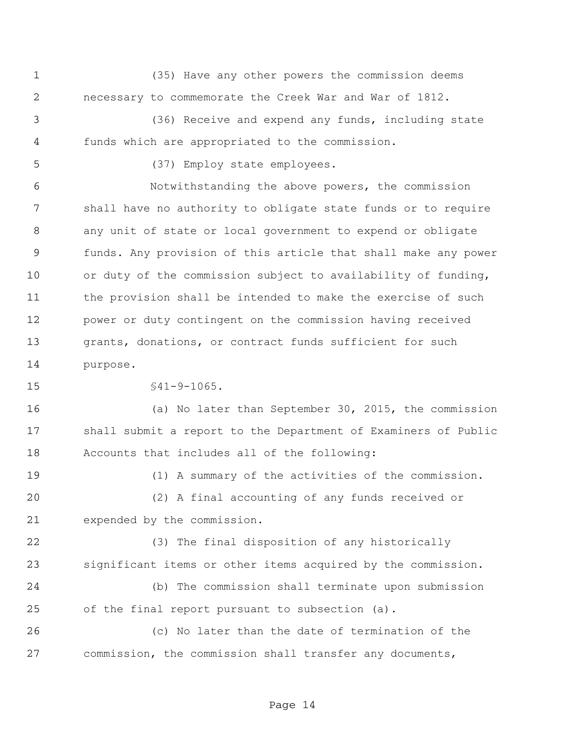(35) Have any other powers the commission deems necessary to commemorate the Creek War and War of 1812.

 (36) Receive and expend any funds, including state funds which are appropriated to the commission.

(37) Employ state employees.

 Notwithstanding the above powers, the commission shall have no authority to obligate state funds or to require any unit of state or local government to expend or obligate funds. Any provision of this article that shall make any power or duty of the commission subject to availability of funding, the provision shall be intended to make the exercise of such power or duty contingent on the commission having received grants, donations, or contract funds sufficient for such purpose.

§41-9-1065.

 (a) No later than September 30, 2015, the commission shall submit a report to the Department of Examiners of Public Accounts that includes all of the following:

 (1) A summary of the activities of the commission. (2) A final accounting of any funds received or expended by the commission.

 (3) The final disposition of any historically significant items or other items acquired by the commission.

 (b) The commission shall terminate upon submission of the final report pursuant to subsection (a).

 (c) No later than the date of termination of the commission, the commission shall transfer any documents,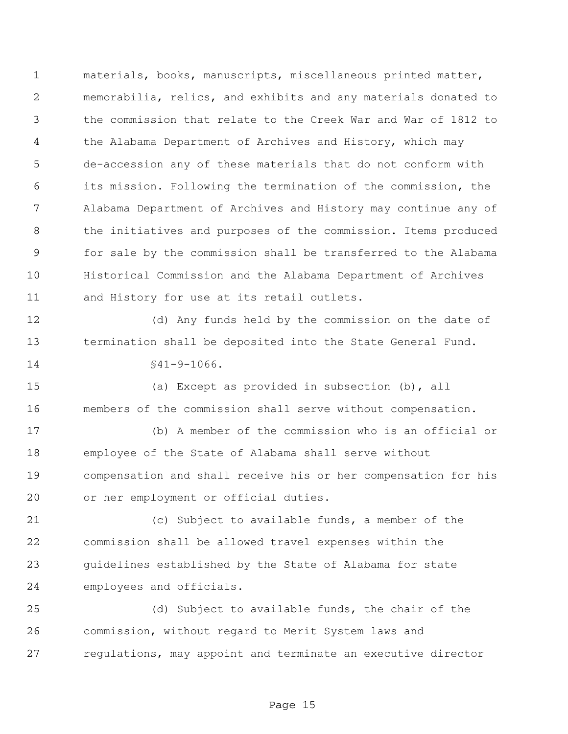materials, books, manuscripts, miscellaneous printed matter, memorabilia, relics, and exhibits and any materials donated to the commission that relate to the Creek War and War of 1812 to the Alabama Department of Archives and History, which may de-accession any of these materials that do not conform with its mission. Following the termination of the commission, the Alabama Department of Archives and History may continue any of 8 the initiatives and purposes of the commission. Items produced for sale by the commission shall be transferred to the Alabama Historical Commission and the Alabama Department of Archives and History for use at its retail outlets.

 (d) Any funds held by the commission on the date of termination shall be deposited into the State General Fund. §41-9-1066.

 (a) Except as provided in subsection (b), all members of the commission shall serve without compensation.

 (b) A member of the commission who is an official or employee of the State of Alabama shall serve without compensation and shall receive his or her compensation for his or her employment or official duties.

 (c) Subject to available funds, a member of the commission shall be allowed travel expenses within the guidelines established by the State of Alabama for state employees and officials.

 (d) Subject to available funds, the chair of the commission, without regard to Merit System laws and regulations, may appoint and terminate an executive director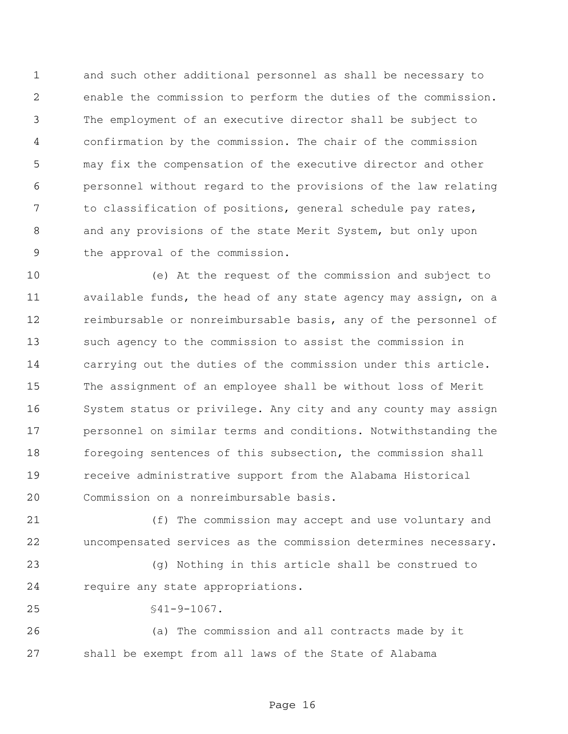and such other additional personnel as shall be necessary to enable the commission to perform the duties of the commission. The employment of an executive director shall be subject to confirmation by the commission. The chair of the commission may fix the compensation of the executive director and other personnel without regard to the provisions of the law relating to classification of positions, general schedule pay rates, and any provisions of the state Merit System, but only upon the approval of the commission.

 (e) At the request of the commission and subject to available funds, the head of any state agency may assign, on a reimbursable or nonreimbursable basis, any of the personnel of such agency to the commission to assist the commission in carrying out the duties of the commission under this article. The assignment of an employee shall be without loss of Merit System status or privilege. Any city and any county may assign personnel on similar terms and conditions. Notwithstanding the foregoing sentences of this subsection, the commission shall receive administrative support from the Alabama Historical Commission on a nonreimbursable basis.

 (f) The commission may accept and use voluntary and uncompensated services as the commission determines necessary.

 (g) Nothing in this article shall be construed to require any state appropriations.

§41-9-1067.

 (a) The commission and all contracts made by it shall be exempt from all laws of the State of Alabama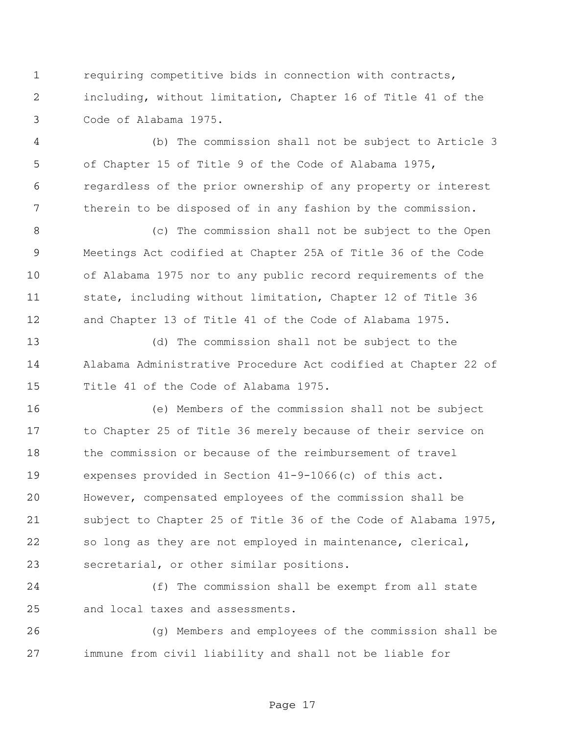requiring competitive bids in connection with contracts, including, without limitation, Chapter 16 of Title 41 of the Code of Alabama 1975.

 (b) The commission shall not be subject to Article 3 of Chapter 15 of Title 9 of the Code of Alabama 1975, regardless of the prior ownership of any property or interest therein to be disposed of in any fashion by the commission.

 (c) The commission shall not be subject to the Open Meetings Act codified at Chapter 25A of Title 36 of the Code of Alabama 1975 nor to any public record requirements of the state, including without limitation, Chapter 12 of Title 36 and Chapter 13 of Title 41 of the Code of Alabama 1975.

 (d) The commission shall not be subject to the Alabama Administrative Procedure Act codified at Chapter 22 of Title 41 of the Code of Alabama 1975.

 (e) Members of the commission shall not be subject to Chapter 25 of Title 36 merely because of their service on the commission or because of the reimbursement of travel expenses provided in Section 41-9-1066(c) of this act. However, compensated employees of the commission shall be subject to Chapter 25 of Title 36 of the Code of Alabama 1975, so long as they are not employed in maintenance, clerical, secretarial, or other similar positions.

 (f) The commission shall be exempt from all state and local taxes and assessments.

 (g) Members and employees of the commission shall be immune from civil liability and shall not be liable for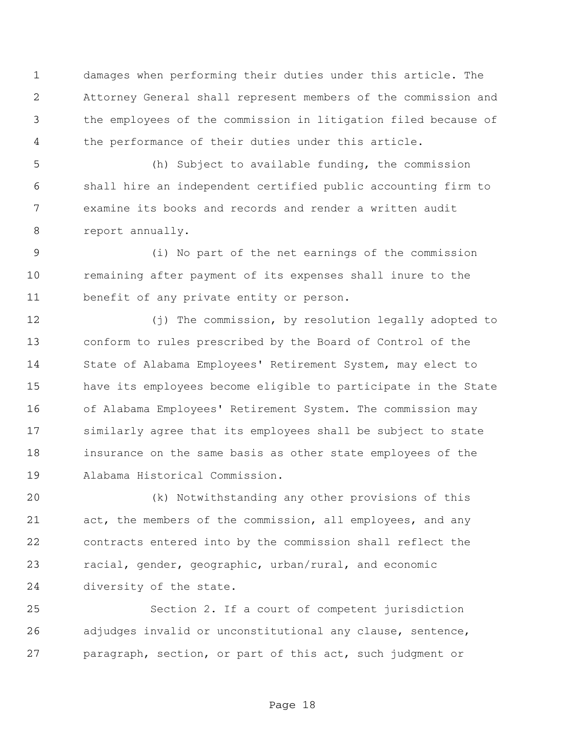damages when performing their duties under this article. The Attorney General shall represent members of the commission and the employees of the commission in litigation filed because of the performance of their duties under this article.

 (h) Subject to available funding, the commission shall hire an independent certified public accounting firm to examine its books and records and render a written audit report annually.

 (i) No part of the net earnings of the commission remaining after payment of its expenses shall inure to the benefit of any private entity or person.

12 (j) The commission, by resolution legally adopted to conform to rules prescribed by the Board of Control of the State of Alabama Employees' Retirement System, may elect to have its employees become eligible to participate in the State of Alabama Employees' Retirement System. The commission may similarly agree that its employees shall be subject to state insurance on the same basis as other state employees of the Alabama Historical Commission.

 (k) Notwithstanding any other provisions of this act, the members of the commission, all employees, and any contracts entered into by the commission shall reflect the racial, gender, geographic, urban/rural, and economic diversity of the state.

 Section 2. If a court of competent jurisdiction adjudges invalid or unconstitutional any clause, sentence, paragraph, section, or part of this act, such judgment or